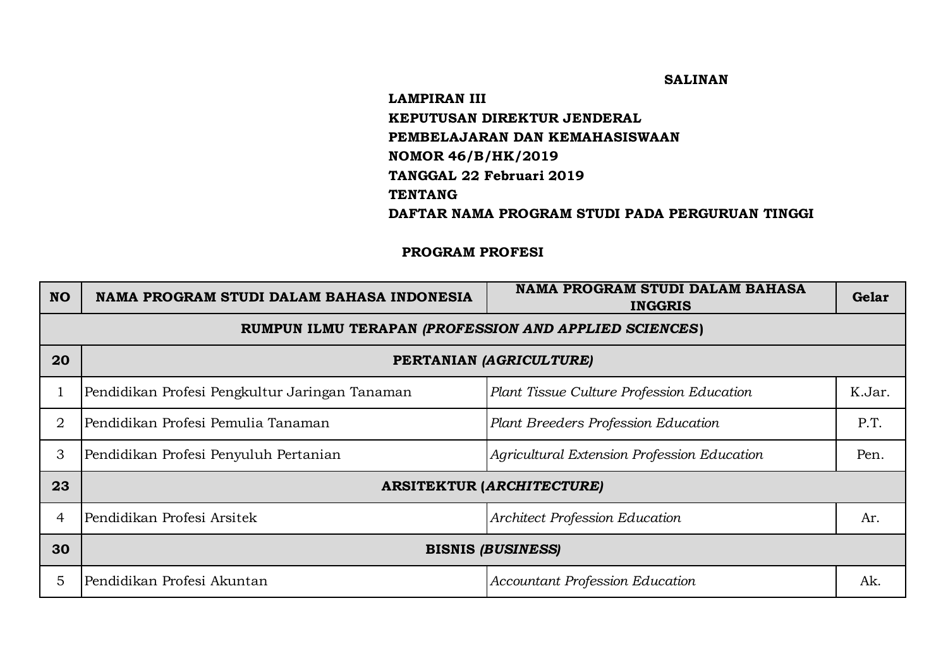## **SALINAN**

## **TENTANG DAFTAR NAMA PROGRAM STUDI PADA PERGURUAN TINGGI LAMPIRAN III KEPUTUSAN DIREKTUR JENDERAL PEMBELAJARAN DAN KEMAHASISWAAN NOMOR 46/B/HK/2019 TANGGAL 22 Februari 2019**

## **PROGRAM PROFESI**

| <b>NO</b> | NAMA PROGRAM STUDI DALAM BAHASA INDONESIA             | <b>NAMA PROGRAM STUDI DALAM BAHASA</b><br><b>INGGRIS</b> | Gelar  |  |  |
|-----------|-------------------------------------------------------|----------------------------------------------------------|--------|--|--|
|           | RUMPUN ILMU TERAPAN (PROFESSION AND APPLIED SCIENCES) |                                                          |        |  |  |
| 20        | PERTANIAN (AGRICULTURE)                               |                                                          |        |  |  |
|           | Pendidikan Profesi Pengkultur Jaringan Tanaman        | Plant Tissue Culture Profession Education                | K.Jar. |  |  |
| 2         | Pendidikan Profesi Pemulia Tanaman                    | Plant Breeders Profession Education                      | P.T.   |  |  |
| 3         | Pendidikan Profesi Penyuluh Pertanian                 | Agricultural Extension Profession Education              | Pen.   |  |  |
| 23        | <b>ARSITEKTUR (ARCHITECTURE)</b>                      |                                                          |        |  |  |
| 4         | Pendidikan Profesi Arsitek                            | Architect Profession Education                           | Ar.    |  |  |
| 30        | <b>BISNIS (BUSINESS)</b>                              |                                                          |        |  |  |
| 5         | Pendidikan Profesi Akuntan                            | Accountant Profession Education                          | Ak.    |  |  |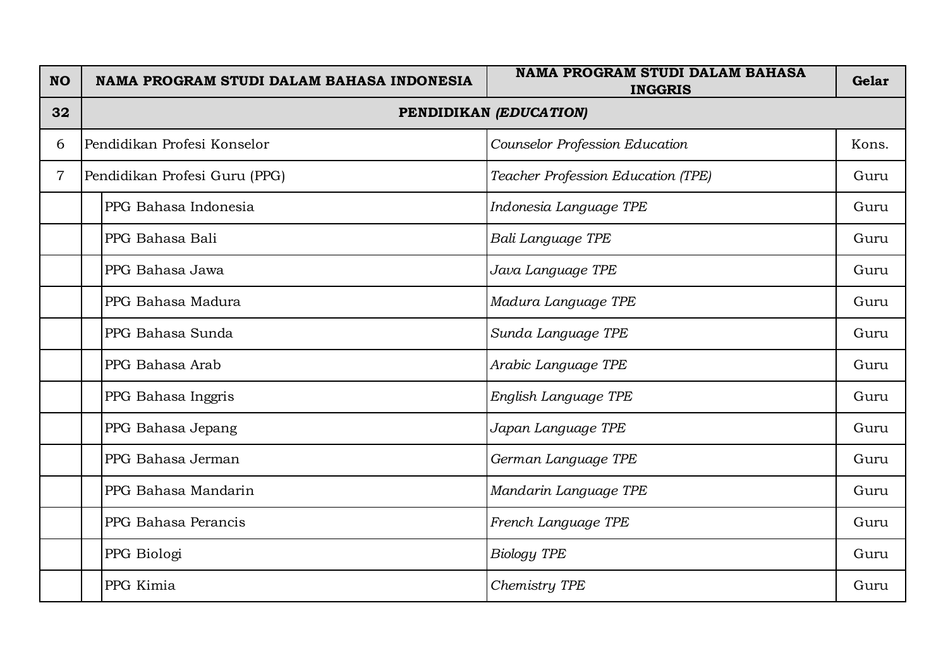| <b>NO</b> | NAMA PROGRAM STUDI DALAM BAHASA INDONESIA | <b>NAMA PROGRAM STUDI DALAM BAHASA</b><br><b>INGGRIS</b> | Gelar |
|-----------|-------------------------------------------|----------------------------------------------------------|-------|
| 32        | PENDIDIKAN (EDUCATION)                    |                                                          |       |
| 6         | Pendidikan Profesi Konselor               | Counselor Profession Education                           | Kons. |
| 7         | Pendidikan Profesi Guru (PPG)             | Teacher Profession Education (TPE)                       | Guru  |
|           | PPG Bahasa Indonesia                      | Indonesia Language TPE                                   | Guru  |
|           | PPG Bahasa Bali                           | Bali Language TPE                                        | Guru  |
|           | PPG Bahasa Jawa                           | Java Language TPE                                        | Guru  |
|           | PPG Bahasa Madura                         | Madura Language TPE                                      | Guru  |
|           | PPG Bahasa Sunda                          | Sunda Language TPE                                       | Guru  |
|           | PPG Bahasa Arab                           | Arabic Language TPE                                      | Guru  |
|           | PPG Bahasa Inggris                        | English Language TPE                                     | Guru  |
|           | PPG Bahasa Jepang                         | Japan Language TPE                                       | Guru  |
|           | PPG Bahasa Jerman                         | German Language TPE                                      | Guru  |
|           | PPG Bahasa Mandarin                       | Mandarin Language TPE                                    | Guru  |
|           | PPG Bahasa Perancis                       | French Language TPE                                      | Guru  |
|           | PPG Biologi                               | <b>Biology TPE</b>                                       | Guru  |
|           | PPG Kimia                                 | Chemistry TPE                                            | Guru  |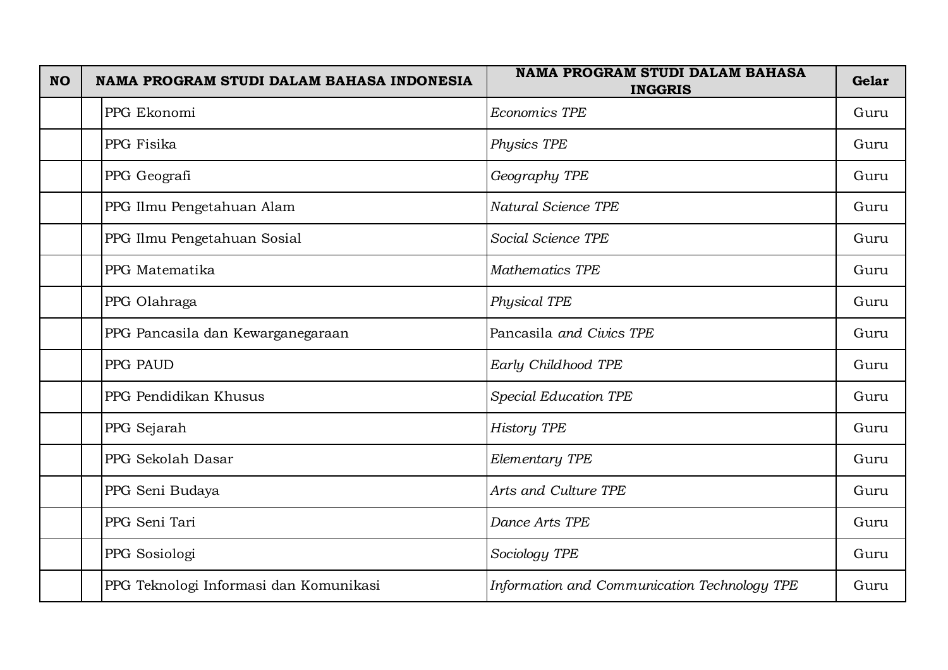| <b>NO</b> | NAMA PROGRAM STUDI DALAM BAHASA INDONESIA | <b>NAMA PROGRAM STUDI DALAM BAHASA</b><br><b>INGGRIS</b> | Gelar |
|-----------|-------------------------------------------|----------------------------------------------------------|-------|
|           | PPG Ekonomi                               | Economics TPE                                            | Guru  |
|           | PPG Fisika                                | Physics TPE                                              | Guru  |
|           | PPG Geografi                              | Geography TPE                                            | Guru  |
|           | PPG Ilmu Pengetahuan Alam                 | Natural Science TPE                                      | Guru  |
|           | PPG Ilmu Pengetahuan Sosial               | Social Science TPE                                       | Guru  |
|           | PPG Matematika                            | Mathematics TPE                                          | Guru  |
|           | PPG Olahraga                              | Physical TPE                                             | Guru  |
|           | PPG Pancasila dan Kewarganegaraan         | Pancasila and Civics TPE                                 | Guru  |
|           | PPG PAUD                                  | Early Childhood TPE                                      | Guru  |
|           | PPG Pendidikan Khusus                     | Special Education TPE                                    | Guru  |
|           | PPG Sejarah                               | <b>History TPE</b>                                       | Guru  |
|           | PPG Sekolah Dasar                         | Elementary TPE                                           | Guru  |
|           | PPG Seni Budaya                           | Arts and Culture TPE                                     | Guru  |
|           | PPG Seni Tari                             | Dance Arts TPE                                           | Guru  |
|           | PPG Sosiologi                             | Sociology TPE                                            | Guru  |
|           | PPG Teknologi Informasi dan Komunikasi    | Information and Communication Technology TPE             | Guru  |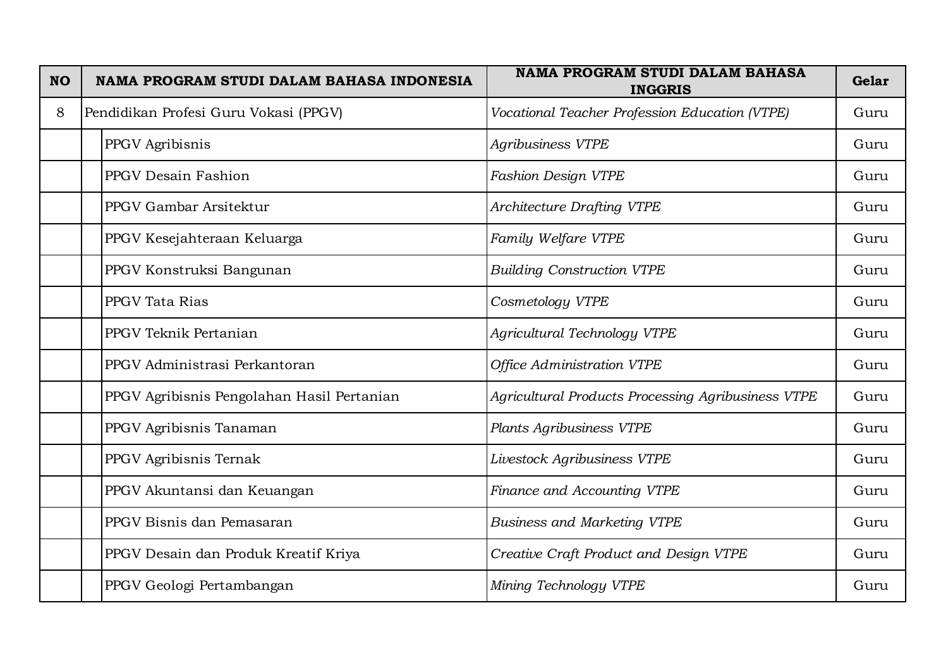| <b>NO</b> | NAMA PROGRAM STUDI DALAM BAHASA INDONESIA  | <b>NAMA PROGRAM STUDI DALAM BAHASA</b><br><b>INGGRIS</b>  | Gelar |
|-----------|--------------------------------------------|-----------------------------------------------------------|-------|
| 8         | Pendidikan Profesi Guru Vokasi (PPGV)      | Vocational Teacher Profession Education (VTPE)            | Guru  |
|           | PPGV Agribisnis                            | <b>Agribusiness VTPE</b>                                  | Guru  |
|           | PPGV Desain Fashion                        | Fashion Design VTPE                                       | Guru  |
|           | PPGV Gambar Arsitektur                     | <b>Architecture Drafting VTPE</b>                         | Guru  |
|           | PPGV Kesejahteraan Keluarga                | Family Welfare VTPE                                       | Guru  |
|           | PPGV Konstruksi Bangunan                   | <b>Building Construction VTPE</b>                         | Guru  |
|           | PPGV Tata Rias                             | Cosmetology VTPE                                          | Guru  |
|           | PPGV Teknik Pertanian                      | Agricultural Technology VTPE                              | Guru  |
|           | PPGV Administrasi Perkantoran              | Office Administration VTPE                                | Guru  |
|           | PPGV Agribisnis Pengolahan Hasil Pertanian | <b>Agricultural Products Processing Agribusiness VTPE</b> | Guru  |
|           | PPGV Agribisnis Tanaman                    | Plants Agribusiness VTPE                                  | Guru  |
|           | PPGV Agribisnis Ternak                     | Livestock Agribusiness VTPE                               | Guru  |
|           | PPGV Akuntansi dan Keuangan                | Finance and Accounting VTPE                               | Guru  |
|           | PPGV Bisnis dan Pemasaran                  | <b>Business and Marketing VTPE</b>                        | Guru  |
|           | PPGV Desain dan Produk Kreatif Kriya       | Creative Craft Product and Design VTPE                    | Guru  |
|           | PPGV Geologi Pertambangan                  | Mining Technology VTPE                                    | Guru  |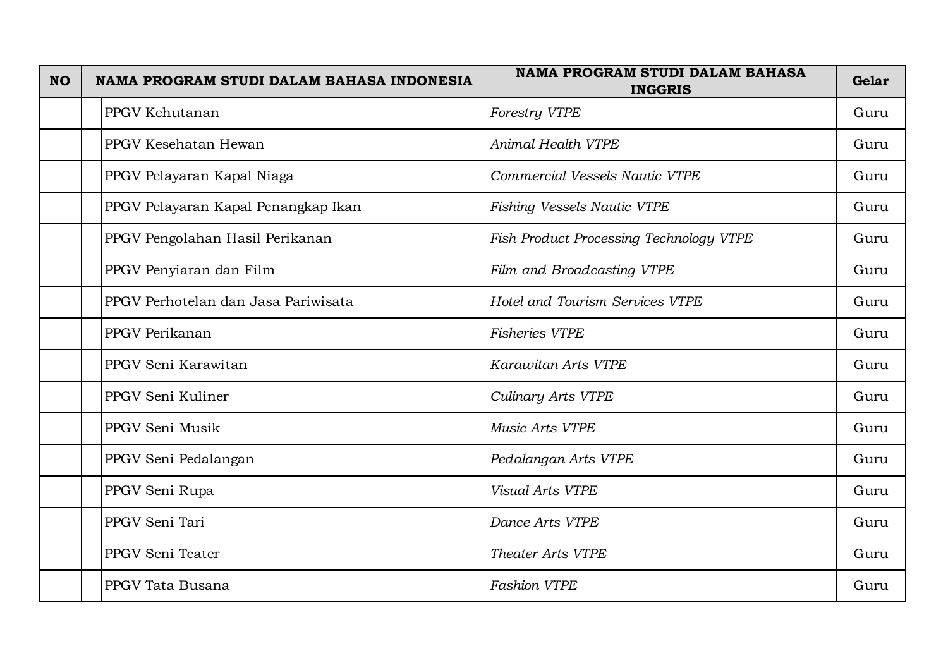| <b>NO</b> | NAMA PROGRAM STUDI DALAM BAHASA INDONESIA | <b>NAMA PROGRAM STUDI DALAM BAHASA</b><br><b>INGGRIS</b> | Gelar |
|-----------|-------------------------------------------|----------------------------------------------------------|-------|
|           | PPGV Kehutanan                            | Forestry VTPE                                            | Guru  |
|           | PPGV Kesehatan Hewan                      | Animal Health VTPE                                       | Guru  |
|           | PPGV Pelayaran Kapal Niaga                | Commercial Vessels Nautic VTPE                           | Guru  |
|           | PPGV Pelayaran Kapal Penangkap Ikan       | Fishing Vessels Nautic VTPE                              | Guru  |
|           | PPGV Pengolahan Hasil Perikanan           | Fish Product Processing Technology VTPE                  | Guru  |
|           | PPGV Penyiaran dan Film                   | Film and Broadcasting VTPE                               | Guru  |
|           | PPGV Perhotelan dan Jasa Pariwisata       | Hotel and Tourism Services VTPE                          | Guru  |
|           | PPGV Perikanan                            | Fisheries VTPE                                           | Guru  |
|           | PPGV Seni Karawitan                       | Karawitan Arts VTPE                                      | Guru  |
|           | PPGV Seni Kuliner                         | Culinary Arts VTPE                                       | Guru  |
|           | PPGV Seni Musik                           | Music Arts VTPE                                          | Guru  |
|           | PPGV Seni Pedalangan                      | Pedalangan Arts VTPE                                     | Guru  |
|           | PPGV Seni Rupa                            | Visual Arts VTPE                                         | Guru  |
|           | PPGV Seni Tari                            | Dance Arts VTPE                                          | Guru  |
|           | PPGV Seni Teater                          | Theater Arts VTPE                                        | Guru  |
|           | PPGV Tata Busana                          | <b>Fashion VTPE</b>                                      | Guru  |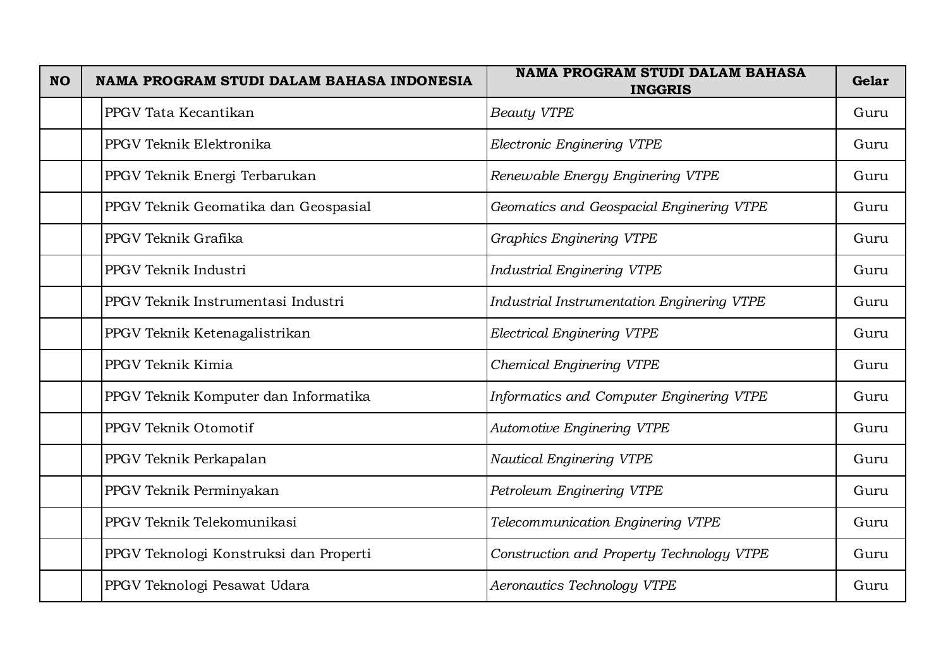| <b>NO</b> | NAMA PROGRAM STUDI DALAM BAHASA INDONESIA | <b>NAMA PROGRAM STUDI DALAM BAHASA</b><br><b>INGGRIS</b> | Gelar |
|-----------|-------------------------------------------|----------------------------------------------------------|-------|
|           | PPGV Tata Kecantikan                      | <b>Beauty VTPE</b>                                       | Guru  |
|           | PPGV Teknik Elektronika                   | Electronic Enginering VTPE                               | Guru  |
|           | PPGV Teknik Energi Terbarukan             | Renewable Energy Enginering VTPE                         | Guru  |
|           | PPGV Teknik Geomatika dan Geospasial      | Geomatics and Geospacial Enginering VTPE                 | Guru  |
|           | PPGV Teknik Grafika                       | <b>Graphics Enginering VTPE</b>                          | Guru  |
|           | PPGV Teknik Industri                      | <b>Industrial Enginering VTPE</b>                        | Guru  |
|           | PPGV Teknik Instrumentasi Industri        | <b>Industrial Instrumentation Enginering VTPE</b>        | Guru  |
|           | PPGV Teknik Ketenagalistrikan             | <b>Electrical Enginering VTPE</b>                        | Guru  |
|           | PPGV Teknik Kimia                         | Chemical Enginering VTPE                                 | Guru  |
|           | PPGV Teknik Komputer dan Informatika      | Informatics and Computer Enginering VTPE                 | Guru  |
|           | PPGV Teknik Otomotif                      | <b>Automotive Enginering VTPE</b>                        | Guru  |
|           | PPGV Teknik Perkapalan                    | <b>Nautical Enginering VTPE</b>                          | Guru  |
|           | PPGV Teknik Perminyakan                   | Petroleum Enginering VTPE                                | Guru  |
|           | PPGV Teknik Telekomunikasi                | Telecommunication Enginering VTPE                        | Guru  |
|           | PPGV Teknologi Konstruksi dan Properti    | Construction and Property Technology VTPE                | Guru  |
|           | PPGV Teknologi Pesawat Udara              | Aeronautics Technology VTPE                              | Guru  |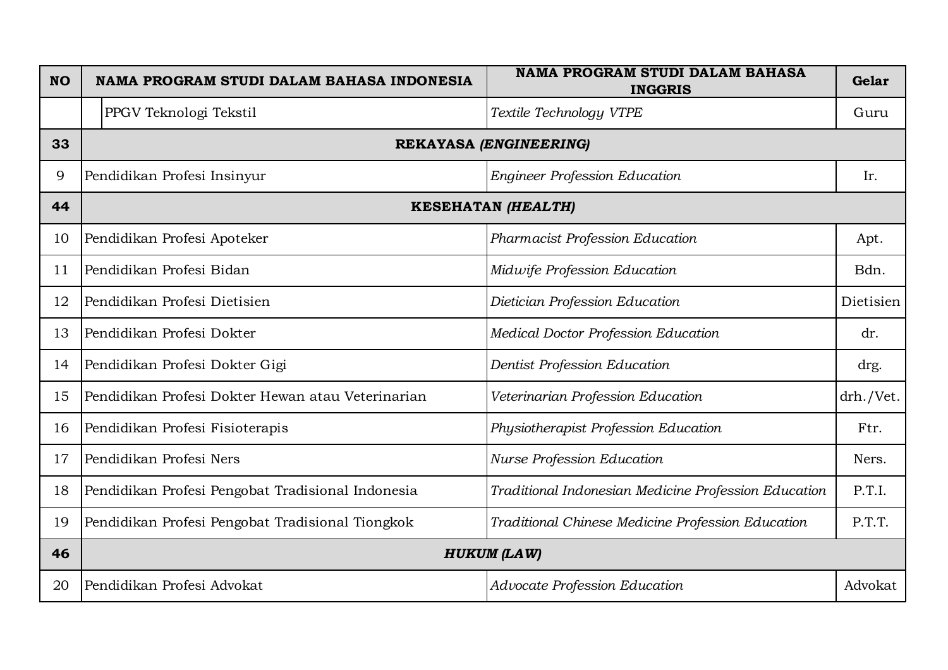| <b>NO</b> | NAMA PROGRAM STUDI DALAM BAHASA INDONESIA         | <b>NAMA PROGRAM STUDI DALAM BAHASA</b><br><b>INGGRIS</b> | Gelar     |
|-----------|---------------------------------------------------|----------------------------------------------------------|-----------|
|           | PPGV Teknologi Tekstil                            | Textile Technology VTPE                                  | Guru      |
| 33        | REKAYASA (ENGINEERING)                            |                                                          |           |
| 9         | Pendidikan Profesi Insinyur                       | <b>Engineer Profession Education</b>                     | Ir.       |
| 44        | <b>KESEHATAN (HEALTH)</b>                         |                                                          |           |
| 10        | Pendidikan Profesi Apoteker                       | Pharmacist Profession Education                          | Apt.      |
| 11        | Pendidikan Profesi Bidan                          | Midwife Profession Education                             | Bdn.      |
| 12        | Pendidikan Profesi Dietisien                      | Dietician Profession Education                           | Dietisien |
| 13        | Pendidikan Profesi Dokter                         | Medical Doctor Profession Education                      | dr.       |
| 14        | Pendidikan Profesi Dokter Gigi                    | Dentist Profession Education                             | drg.      |
| 15        | Pendidikan Profesi Dokter Hewan atau Veterinarian | Veterinarian Profession Education                        | drh./Vet. |
| 16        | Pendidikan Profesi Fisioterapis                   | Physiotherapist Profession Education                     | Ftr.      |
| 17        | Pendidikan Profesi Ners                           | <b>Nurse Profession Education</b>                        | Ners.     |
| 18        | Pendidikan Profesi Pengobat Tradisional Indonesia | Traditional Indonesian Medicine Profession Education     | P.T.I.    |
| 19        | Pendidikan Profesi Pengobat Tradisional Tiongkok  | Traditional Chinese Medicine Profession Education        | P.T.T.    |
| 46        | <b>HUKUM (LAW)</b>                                |                                                          |           |
| 20        | Pendidikan Profesi Advokat                        | Advocate Profession Education                            | Advokat   |